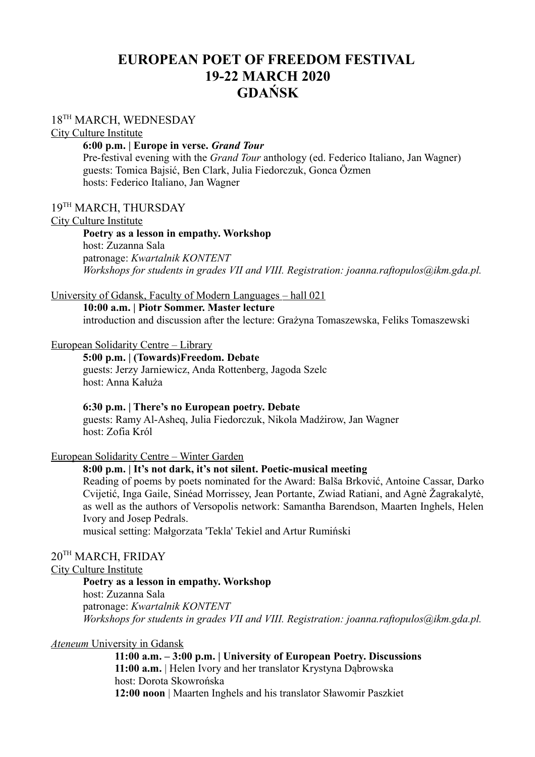# **EUROPEAN POET OF FREEDOM FESTIVAL 19-22 MARCH 2020 GDAŃSK**

## 18<sup>TH</sup> MARCH, WEDNESDAY

City Culture Institute

### **6:00 p.m. | Europe in verse.** *Grand Tour*

Pre-festival evening with the *Grand Tour* anthology (ed. Federico Italiano, Jan Wagner) guests: Tomica Bajsić, Ben Clark, Julia Fiedorczuk, Gonca Özmen hosts: Federico Italiano, Jan Wagner

## 19TH MARCH, THURSDAY

#### City Culture Institute

#### **Poetry as a lesson in empathy. Workshop**

host: Zuzanna Sala patronage: *Kwartalnik KONTENT Workshops for students in grades VII and VIII. Registration: joanna.raftopulos@ikm.gda.pl.*

#### University of Gdansk, Faculty of Modern Languages – hall 021

### **10:00 a.m. | Piotr Sommer. Master lecture** introduction and discussion after the lecture: Grażyna Tomaszewska, Feliks Tomaszewski

#### European Solidarity Centre – Library

**5:00 p.m. | (Towards)Freedom. Debate** guests: Jerzy Jarniewicz, Anda Rottenberg, Jagoda Szelc host: Anna Kałuża

#### **6:30 p.m. | There's no European poetry. Debate**

guests: Ramy Al-Asheq, Julia Fiedorczuk, Nikola Madżirow, Jan Wagner host: Zofia Król

### European Solidarity Centre – Winter Garden

## **8:00 p.m. | It's not dark, it's not silent. Poetic-musical meeting**

Reading of poems by poets nominated for the Award: Balša Brković, Antoine Cassar, Darko Cvijetić, Inga Gaile, Sinéad Morrissey, Jean Portante, Zwiad Ratiani, and Agnė Žagrakalytė, as well as the authors of Versopolis network: Samantha Barendson, Maarten Inghels, Helen Ivory and Josep Pedrals.

musical setting: Małgorzata 'Tekla' Tekiel and Artur Rumiński

## 20TH MARCH, FRIDAY

## City Culture Institute

**Poetry as a lesson in empathy. Workshop** host: Zuzanna Sala patronage: *Kwartalnik KONTENT Workshops for students in grades VII and VIII. Registration: joanna.raftopulos@ikm.gda.pl.*

#### *Ateneum* University in Gdansk

**11:00 a.m. – 3:00 p.m. | University of European Poetry. Discussions 11:00 a.m.** | Helen Ivory and her translator Krystyna Dąbrowska host: Dorota Skowrońska **12:00 noon** | Maarten Inghels and his translator Sławomir Paszkiet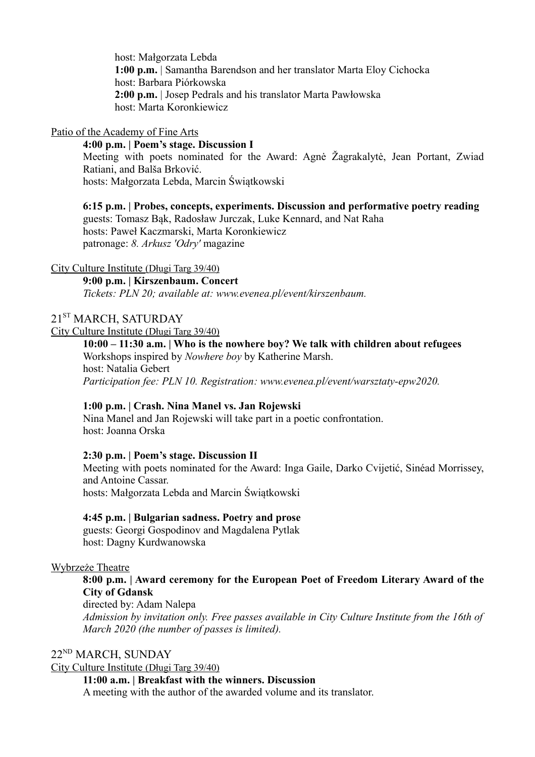host: Małgorzata Lebda **1:00 p.m.** | Samantha Barendson and her translator Marta Eloy Cichocka host: Barbara Piórkowska **2:00 p.m.** | Josep Pedrals and his translator Marta Pawłowska host: Marta Koronkiewicz

#### Patio of the Academy of Fine Arts

### **4:00 p.m. | Poem's stage. Discussion I**

Meeting with poets nominated for the Award: Agnė Žagrakalytė, Jean Portant, Zwiad Ratiani, and Balša Brković. hosts: Małgorzata Lebda, Marcin Świątkowski

**6:15 p.m. | Probes, concepts, experiments. Discussion and performative poetry reading**  guests: Tomasz Bąk, Radosław Jurczak, Luke Kennard, and Nat Raha hosts: Paweł Kaczmarski, Marta Koronkiewicz patronage: *8. Arkusz 'Odry'* magazine

#### City Culture Institute (Długi Targ 39/40)

**9:00 p.m. | Kirszenbaum. Concert** *Tickets: PLN 20; available at: www.evenea.pl/event/kirszenbaum.* 

## 21<sup>ST</sup> MARCH, SATURDAY

#### City Culture Institute (Długi Targ 39/40)

**10:00 – 11:30 a.m. | Who is the nowhere boy? We talk with children about refugees** Workshops inspired by *Nowhere boy* by Katherine Marsh. host: Natalia Gebert *Participation fee: PLN 10. Registration: www.evenea.pl/event/warsztaty-epw2020.*

#### **1:00 p.m. | Crash. Nina Manel vs. Jan Rojewski**

Nina Manel and Jan Rojewski will take part in a poetic confrontation. host: Joanna Orska

#### **2:30 p.m. | Poem's stage. Discussion II**

Meeting with poets nominated for the Award: Inga Gaile, Darko Cvijetić, Sinéad Morrissey, and Antoine Cassar. hosts: Małgorzata Lebda and Marcin Świątkowski

#### **4:45 p.m. | Bulgarian sadness. Poetry and prose**

guests: Georgi Gospodinov and Magdalena Pytlak host: Dagny Kurdwanowska

#### Wybrzeże Theatre

## **8:00 p.m. | Award ceremony for the European Poet of Freedom Literary Award of the City of Gdansk**

directed by: Adam Nalepa

*Admission by invitation only. Free passes available in City Culture Institute from the 16th of March 2020 (the number of passes is limited).*

## 22ND MARCH, SUNDAY

City Culture Institute (Długi Targ 39/40)

**11:00 a.m. | Breakfast with the winners. Discussion**

A meeting with the author of the awarded volume and its translator.